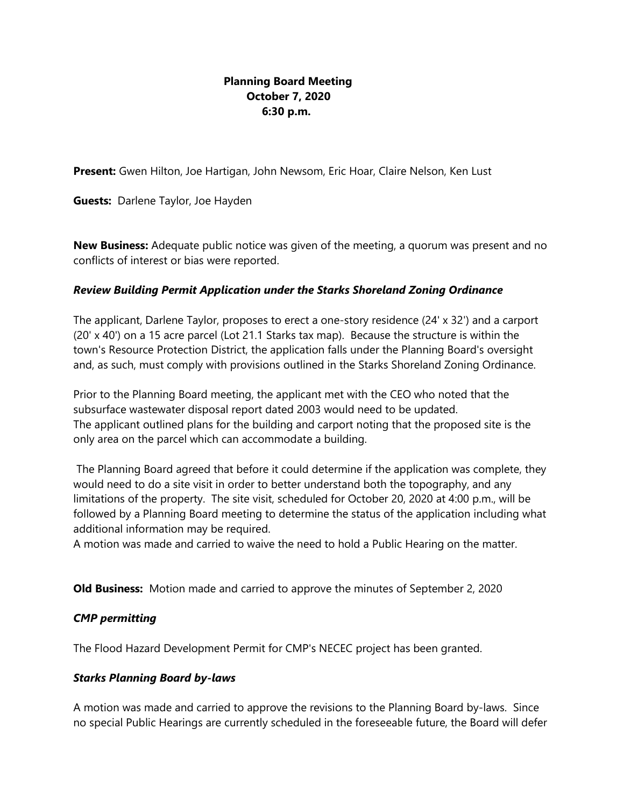## **Planning Board Meeting October 7, 2020 6:30 p.m.**

**Present:** Gwen Hilton, Joe Hartigan, John Newsom, Eric Hoar, Claire Nelson, Ken Lust

**Guests:** Darlene Taylor, Joe Hayden

**New Business:** Adequate public notice was given of the meeting, a quorum was present and no conflicts of interest or bias were reported.

### *Review Building Permit Application under the Starks Shoreland Zoning Ordinance*

The applicant, Darlene Taylor, proposes to erect a one-story residence (24' x 32') and a carport (20' x 40') on a 15 acre parcel (Lot 21.1 Starks tax map). Because the structure is within the town's Resource Protection District, the application falls under the Planning Board's oversight and, as such, must comply with provisions outlined in the Starks Shoreland Zoning Ordinance.

Prior to the Planning Board meeting, the applicant met with the CEO who noted that the subsurface wastewater disposal report dated 2003 would need to be updated. The applicant outlined plans for the building and carport noting that the proposed site is the only area on the parcel which can accommodate a building.

The Planning Board agreed that before it could determine if the application was complete, they would need to do a site visit in order to better understand both the topography, and any limitations of the property. The site visit, scheduled for October 20, 2020 at 4:00 p.m., will be followed by a Planning Board meeting to determine the status of the application including what additional information may be required.

A motion was made and carried to waive the need to hold a Public Hearing on the matter.

**Old Business:** Motion made and carried to approve the minutes of September 2, 2020

### *CMP permitting*

The Flood Hazard Development Permit for CMP's NECEC project has been granted.

### *Starks Planning Board by-laws*

A motion was made and carried to approve the revisions to the Planning Board by-laws. Since no special Public Hearings are currently scheduled in the foreseeable future, the Board will defer